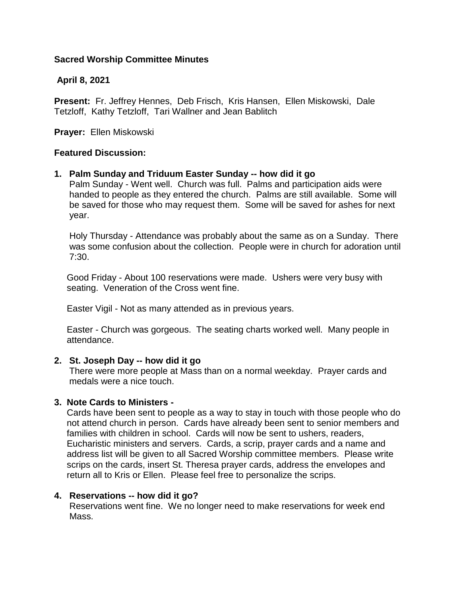# **Sacred Worship Committee Minutes**

# **April 8, 2021**

**Present:** Fr. Jeffrey Hennes, Deb Frisch, Kris Hansen, Ellen Miskowski, Dale Tetzloff, Kathy Tetzloff, Tari Wallner and Jean Bablitch

**Prayer:** Ellen Miskowski

## **Featured Discussion:**

## **1. Palm Sunday and Triduum Easter Sunday -- how did it go**

 Palm Sunday - Went well. Church was full. Palms and participation aids were handed to people as they entered the church. Palms are still available. Some will be saved for those who may request them. Some will be saved for ashes for next year.

 Holy Thursday - Attendance was probably about the same as on a Sunday. There was some confusion about the collection. People were in church for adoration until 7:30.

 Good Friday - About 100 reservations were made. Ushers were very busy with seating. Veneration of the Cross went fine.

Easter Vigil - Not as many attended as in previous years.

 Easter - Church was gorgeous. The seating charts worked well. Many people in attendance.

## **2. St. Joseph Day -- how did it go**

 There were more people at Mass than on a normal weekday. Prayer cards and medals were a nice touch.

## **3. Note Cards to Ministers -**

 Cards have been sent to people as a way to stay in touch with those people who do not attend church in person.Cards have already been sent to senior members and families with children in school. Cards will now be sent to ushers, readers, Eucharistic ministers and servers. Cards, a scrip, prayer cards and a name and address list will be given to all Sacred Worship committee members. Please write scrips on the cards, insert St. Theresa prayer cards, address the envelopes and return all to Kris or Ellen. Please feel free to personalize the scrips.

## **4. Reservations -- how did it go?**

 Reservations went fine. We no longer need to make reservations for week end Mass.